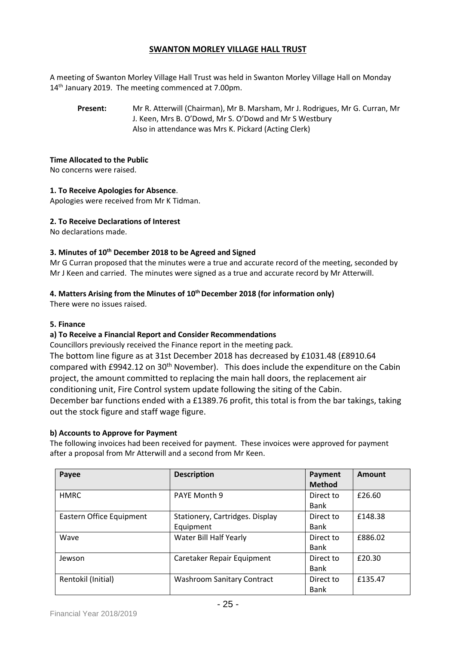# **SWANTON MORLEY VILLAGE HALL TRUST**

A meeting of Swanton Morley Village Hall Trust was held in Swanton Morley Village Hall on Monday 14<sup>th</sup> January 2019. The meeting commenced at 7.00pm.

**Present:** Mr R. Atterwill (Chairman), Mr B. Marsham, Mr J. Rodrigues, Mr G. Curran, Mr J. Keen, Mrs B. O'Dowd, Mr S. O'Dowd and Mr S Westbury Also in attendance was Mrs K. Pickard (Acting Clerk)

### **Time Allocated to the Public**

No concerns were raised.

### **1. To Receive Apologies for Absence**.

Apologies were received from Mr K Tidman.

### **2. To Receive Declarations of Interest**

No declarations made.

## **3. Minutes of 10 th December 2018 to be Agreed and Signed**

Mr G Curran proposed that the minutes were a true and accurate record of the meeting, seconded by Mr J Keen and carried. The minutes were signed as a true and accurate record by Mr Atterwill.

# **4. Matters Arising from the Minutes of 10 thDecember 2018 (for information only)**

There were no issues raised.

#### **5. Finance**

# **a) To Receive a Financial Report and Consider Recommendations**

Councillors previously received the Finance report in the meeting pack.

The bottom line figure as at 31st December 2018 has decreased by £1031.48 (£8910.64 compared with £9942.12 on 30<sup>th</sup> November). This does include the expenditure on the Cabin project, the amount committed to replacing the main hall doors, the replacement air conditioning unit, Fire Control system update following the siting of the Cabin. December bar functions ended with a £1389.76 profit, this total is from the bar takings, taking

out the stock figure and staff wage figure.

#### **b) Accounts to Approve for Payment**

The following invoices had been received for payment. These invoices were approved for payment after a proposal from Mr Atterwill and a second from Mr Keen.

| Payee                    | <b>Description</b>                | Payment       | Amount  |
|--------------------------|-----------------------------------|---------------|---------|
|                          |                                   | <b>Method</b> |         |
| <b>HMRC</b>              | PAYE Month 9                      | Direct to     | £26.60  |
|                          |                                   | <b>Bank</b>   |         |
| Eastern Office Equipment | Stationery, Cartridges. Display   | Direct to     | £148.38 |
|                          | Equipment                         | Bank          |         |
| Wave                     | Water Bill Half Yearly            | Direct to     | £886.02 |
|                          |                                   | Bank          |         |
| Jewson                   | Caretaker Repair Equipment        | Direct to     | £20.30  |
|                          |                                   | Bank          |         |
| Rentokil (Initial)       | <b>Washroom Sanitary Contract</b> | Direct to     | £135.47 |
|                          |                                   | <b>Bank</b>   |         |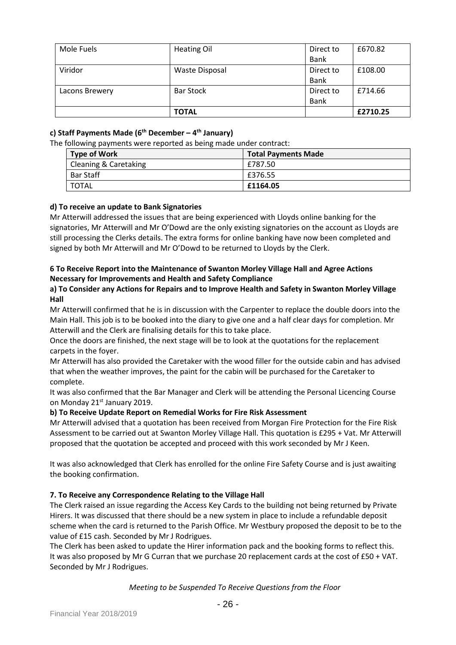| Mole Fuels     | <b>Heating Oil</b>    | Direct to   | £670.82  |
|----------------|-----------------------|-------------|----------|
|                |                       | <b>Bank</b> |          |
| Viridor        | <b>Waste Disposal</b> | Direct to   | £108.00  |
|                |                       | <b>Bank</b> |          |
| Lacons Brewery | <b>Bar Stock</b>      | Direct to   | £714.66  |
|                |                       | <b>Bank</b> |          |
|                | <b>TOTAL</b>          |             | £2710.25 |

# **c) Staff Payments Made (6 th December – 4 th January)**

The following payments were reported as being made under contract:

| <b>Type of Work</b>   | <b>Total Payments Made</b> |
|-----------------------|----------------------------|
| Cleaning & Caretaking | £787.50                    |
| <b>Bar Staff</b>      | £376.55                    |
| <b>TOTAL</b>          | £1164.05                   |

# **d) To receive an update to Bank Signatories**

Mr Atterwill addressed the issues that are being experienced with Lloyds online banking for the signatories, Mr Atterwill and Mr O'Dowd are the only existing signatories on the account as Lloyds are still processing the Clerks details. The extra forms for online banking have now been completed and signed by both Mr Atterwill and Mr O'Dowd to be returned to Lloyds by the Clerk.

# **6 To Receive Report into the Maintenance of Swanton Morley Village Hall and Agree Actions Necessary for Improvements and Health and Safety Compliance**

## **a) To Consider any Actions for Repairs and to Improve Health and Safety in Swanton Morley Village Hall**

Mr Atterwill confirmed that he is in discussion with the Carpenter to replace the double doors into the Main Hall. This job is to be booked into the diary to give one and a half clear days for completion. Mr Atterwill and the Clerk are finalising details for this to take place.

Once the doors are finished, the next stage will be to look at the quotations for the replacement carpets in the foyer.

Mr Atterwill has also provided the Caretaker with the wood filler for the outside cabin and has advised that when the weather improves, the paint for the cabin will be purchased for the Caretaker to complete.

It was also confirmed that the Bar Manager and Clerk will be attending the Personal Licencing Course on Monday 21<sup>st</sup> January 2019.

#### **b) To Receive Update Report on Remedial Works for Fire Risk Assessment**

Mr Atterwill advised that a quotation has been received from Morgan Fire Protection for the Fire Risk Assessment to be carried out at Swanton Morley Village Hall. This quotation is £295 + Vat. Mr Atterwill proposed that the quotation be accepted and proceed with this work seconded by Mr J Keen.

It was also acknowledged that Clerk has enrolled for the online Fire Safety Course and is just awaiting the booking confirmation.

#### **7. To Receive any Correspondence Relating to the Village Hall**

The Clerk raised an issue regarding the Access Key Cards to the building not being returned by Private Hirers. It was discussed that there should be a new system in place to include a refundable deposit scheme when the card is returned to the Parish Office. Mr Westbury proposed the deposit to be to the value of £15 cash. Seconded by Mr J Rodrigues.

The Clerk has been asked to update the Hirer information pack and the booking forms to reflect this. It was also proposed by Mr G Curran that we purchase 20 replacement cards at the cost of £50 + VAT. Seconded by Mr J Rodrigues.

#### *Meeting to be Suspended To Receive Questions from the Floor*